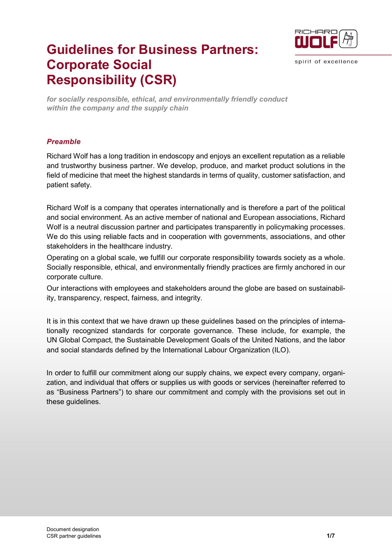

spirit of excellence

# **Guidelines for Business Partners: Corporate Social Responsibility (CSR)**

*for socially responsible, ethical, and environmentally friendly conduct within the company and the supply chain*

### *Preamble*

Richard Wolf has a long tradition in endoscopy and enjoys an excellent reputation as a reliable and trustworthy business partner. We develop, produce, and market product solutions in the field of medicine that meet the highest standards in terms of quality, customer satisfaction, and patient safety.

Richard Wolf is a company that operates internationally and is therefore a part of the political and social environment. As an active member of national and European associations, Richard Wolf is a neutral discussion partner and participates transparently in policymaking processes. We do this using reliable facts and in cooperation with governments, associations, and other stakeholders in the healthcare industry.

Operating on a global scale, we fulfill our corporate responsibility towards society as a whole. Socially responsible, ethical, and environmentally friendly practices are firmly anchored in our corporate culture.

Our interactions with employees and stakeholders around the globe are based on sustainability, transparency, respect, fairness, and integrity.

It is in this context that we have drawn up these guidelines based on the principles of internationally recognized standards for corporate governance. These include, for example, the UN Global Compact, the Sustainable Development Goals of the United Nations, and the labor and social standards defined by the International Labour Organization (ILO).

In order to fulfill our commitment along our supply chains, we expect every company, organization, and individual that offers or supplies us with goods or services (hereinafter referred to as "Business Partners") to share our commitment and comply with the provisions set out in these guidelines.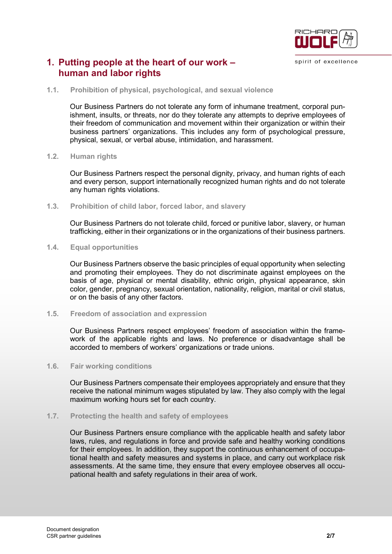

# **1. Putting people at the heart of our work – human and labor rights**

#### **1.1. Prohibition of physical, psychological, and sexual violence**

Our Business Partners do not tolerate any form of inhumane treatment, corporal punishment, insults, or threats, nor do they tolerate any attempts to deprive employees of their freedom of communication and movement within their organization or within their business partners' organizations. This includes any form of psychological pressure, physical, sexual, or verbal abuse, intimidation, and harassment.

#### **1.2. Human rights**

Our Business Partners respect the personal dignity, privacy, and human rights of each and every person, support internationally recognized human rights and do not tolerate any human rights violations.

#### **1.3. Prohibition of child labor, forced labor, and slavery**

Our Business Partners do not tolerate child, forced or punitive labor, slavery, or human trafficking, either in their organizations or in the organizations of their business partners.

#### **1.4. Equal opportunities**

Our Business Partners observe the basic principles of equal opportunity when selecting and promoting their employees. They do not discriminate against employees on the basis of age, physical or mental disability, ethnic origin, physical appearance, skin color, gender, pregnancy, sexual orientation, nationality, religion, marital or civil status, or on the basis of any other factors.

#### **1.5. Freedom of association and expression**

Our Business Partners respect employees' freedom of association within the framework of the applicable rights and laws. No preference or disadvantage shall be accorded to members of workers' organizations or trade unions.

#### **1.6. Fair working conditions**

Our Business Partners compensate their employees appropriately and ensure that they receive the national minimum wages stipulated by law. They also comply with the legal maximum working hours set for each country.

#### **1.7. Protecting the health and safety of employees**

Our Business Partners ensure compliance with the applicable health and safety labor laws, rules, and regulations in force and provide safe and healthy working conditions for their employees. In addition, they support the continuous enhancement of occupational health and safety measures and systems in place, and carry out workplace risk assessments. At the same time, they ensure that every employee observes all occupational health and safety regulations in their area of work.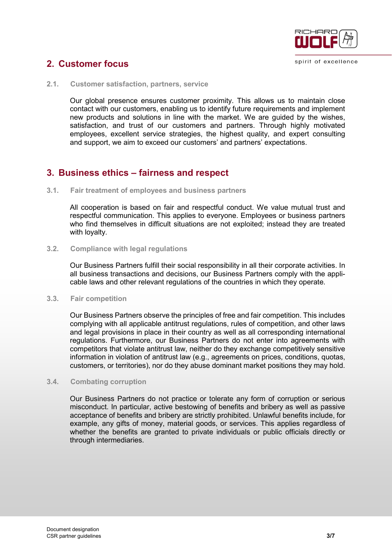

#### spirit of excellence

# **2. Customer focus**

**2.1. Customer satisfaction, partners, service**

Our global presence ensures customer proximity. This allows us to maintain close contact with our customers, enabling us to identify future requirements and implement new products and solutions in line with the market. We are guided by the wishes, satisfaction, and trust of our customers and partners. Through highly motivated employees, excellent service strategies, the highest quality, and expert consulting and support, we aim to exceed our customers' and partners' expectations.

# **3. Business ethics – fairness and respect**

**3.1. Fair treatment of employees and business partners**

All cooperation is based on fair and respectful conduct. We value mutual trust and respectful communication. This applies to everyone. Employees or business partners who find themselves in difficult situations are not exploited; instead they are treated with loyalty.

**3.2. Compliance with legal regulations** 

Our Business Partners fulfill their social responsibility in all their corporate activities. In all business transactions and decisions, our Business Partners comply with the applicable laws and other relevant regulations of the countries in which they operate.

#### **3.3. Fair competition**

Our Business Partners observe the principles of free and fair competition. This includes complying with all applicable antitrust regulations, rules of competition, and other laws and legal provisions in place in their country as well as all corresponding international regulations. Furthermore, our Business Partners do not enter into agreements with competitors that violate antitrust law, neither do they exchange competitively sensitive information in violation of antitrust law (e.g., agreements on prices, conditions, quotas, customers, or territories), nor do they abuse dominant market positions they may hold.

#### **3.4. Combating corruption**

Our Business Partners do not practice or tolerate any form of corruption or serious misconduct. In particular, active bestowing of benefits and bribery as well as passive acceptance of benefits and bribery are strictly prohibited. Unlawful benefits include, for example, any gifts of money, material goods, or services. This applies regardless of whether the benefits are granted to private individuals or public officials directly or through intermediaries.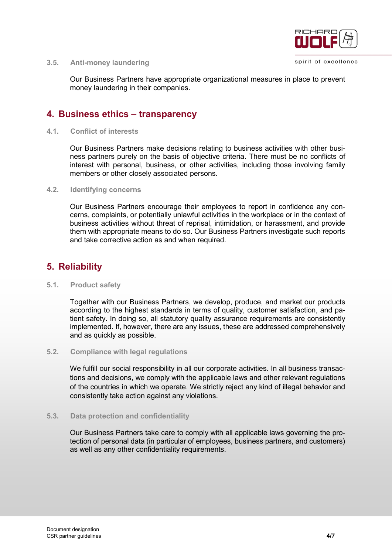

spirit of excellence

#### **3.5. Anti-money laundering**

Our Business Partners have appropriate organizational measures in place to prevent money laundering in their companies.

## **4. Business ethics – transparency**

#### **4.1. Conflict of interests**

Our Business Partners make decisions relating to business activities with other business partners purely on the basis of objective criteria. There must be no conflicts of interest with personal, business, or other activities, including those involving family members or other closely associated persons.

#### **4.2. Identifying concerns**

Our Business Partners encourage their employees to report in confidence any concerns, complaints, or potentially unlawful activities in the workplace or in the context of business activities without threat of reprisal, intimidation, or harassment, and provide them with appropriate means to do so. Our Business Partners investigate such reports and take corrective action as and when required.

# **5. Reliability**

#### **5.1. Product safety**

Together with our Business Partners, we develop, produce, and market our products according to the highest standards in terms of quality, customer satisfaction, and patient safety. In doing so, all statutory quality assurance requirements are consistently implemented. If, however, there are any issues, these are addressed comprehensively and as quickly as possible.

#### **5.2. Compliance with legal regulations**

We fulfill our social responsibility in all our corporate activities. In all business transactions and decisions, we comply with the applicable laws and other relevant regulations of the countries in which we operate. We strictly reject any kind of illegal behavior and consistently take action against any violations.

#### **5.3. Data protection and confidentiality**

Our Business Partners take care to comply with all applicable laws governing the protection of personal data (in particular of employees, business partners, and customers) as well as any other confidentiality requirements.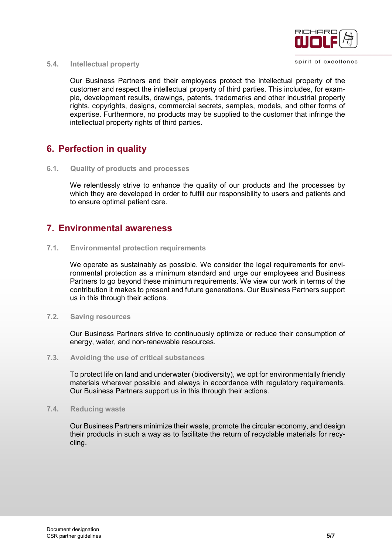

**5.4. Intellectual property** 

Our Business Partners and their employees protect the intellectual property of the customer and respect the intellectual property of third parties. This includes, for example, development results, drawings, patents, trademarks and other industrial property rights, copyrights, designs, commercial secrets, samples, models, and other forms of expertise. Furthermore, no products may be supplied to the customer that infringe the intellectual property rights of third parties.

# **6. Perfection in quality**

**6.1. Quality of products and processes**

We relentlessly strive to enhance the quality of our products and the processes by which they are developed in order to fulfill our responsibility to users and patients and to ensure optimal patient care.

# **7. Environmental awareness**

**7.1. Environmental protection requirements**

We operate as sustainably as possible. We consider the legal requirements for environmental protection as a minimum standard and urge our employees and Business Partners to go beyond these minimum requirements. We view our work in terms of the contribution it makes to present and future generations. Our Business Partners support us in this through their actions.

**7.2. Saving resources**

Our Business Partners strive to continuously optimize or reduce their consumption of energy, water, and non-renewable resources.

**7.3. Avoiding the use of critical substances**

To protect life on land and underwater (biodiversity), we opt for environmentally friendly materials wherever possible and always in accordance with regulatory requirements. Our Business Partners support us in this through their actions.

**7.4. Reducing waste**

Our Business Partners minimize their waste, promote the circular economy, and design their products in such a way as to facilitate the return of recyclable materials for recycling.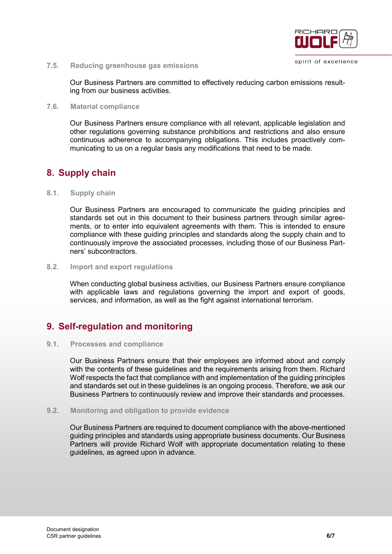

**7.5. Reducing greenhouse gas emissions**

Our Business Partners are committed to effectively reducing carbon emissions resulting from our business activities.

#### **7.6. Material compliance**

Our Business Partners ensure compliance with all relevant, applicable legislation and other regulations governing substance prohibitions and restrictions and also ensure continuous adherence to accompanying obligations. This includes proactively communicating to us on a regular basis any modifications that need to be made.

# **8. Supply chain**

#### **8.1. Supply chain**

Our Business Partners are encouraged to communicate the guiding principles and standards set out in this document to their business partners through similar agreements, or to enter into equivalent agreements with them. This is intended to ensure compliance with these guiding principles and standards along the supply chain and to continuously improve the associated processes, including those of our Business Partners' subcontractors.

#### **8.2. Import and export regulations**

When conducting global business activities, our Business Partners ensure compliance with applicable laws and regulations governing the import and export of goods, services, and information, as well as the fight against international terrorism.

# **9. Self-regulation and monitoring**

#### **9.1. Processes and compliance**

Our Business Partners ensure that their employees are informed about and comply with the contents of these guidelines and the requirements arising from them. Richard Wolf respects the fact that compliance with and implementation of the guiding principles and standards set out in these guidelines is an ongoing process. Therefore, we ask our Business Partners to continuously review and improve their standards and processes.

#### **9.2. Monitoring and obligation to provide evidence**

Our Business Partners are required to document compliance with the above-mentioned guiding principles and standards using appropriate business documents. Our Business Partners will provide Richard Wolf with appropriate documentation relating to these guidelines, as agreed upon in advance.